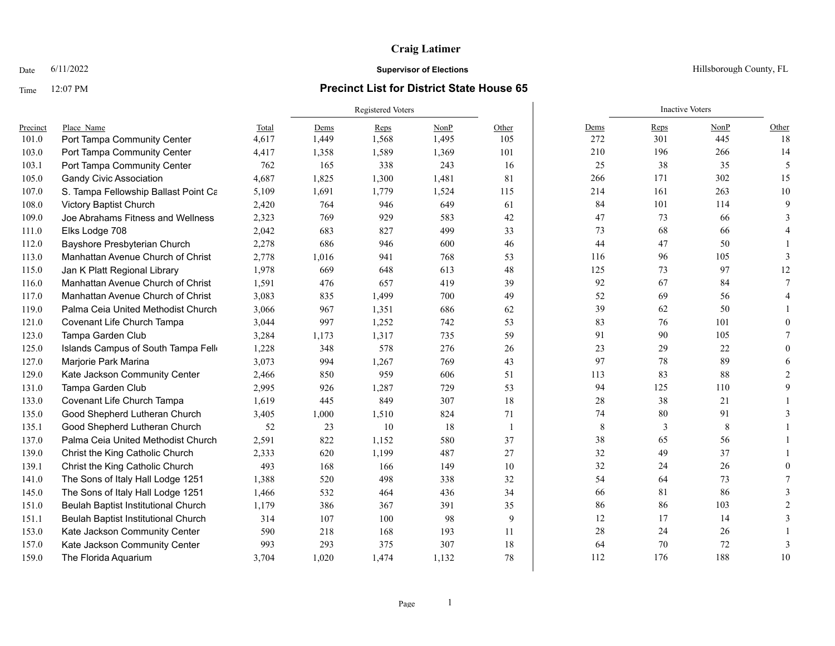## **Craig Latimer**

### Time 12:07 PM **Precinct List for District State House 65**

|          |                                      |       | <b>Registered Voters</b> |       |       |                |         | <b>Inactive Voters</b> |      |                          |
|----------|--------------------------------------|-------|--------------------------|-------|-------|----------------|---------|------------------------|------|--------------------------|
| Precinct | Place Name                           | Total | Dems                     | Reps  | NonP  | Other          | Dems    | Reps                   | NonP | Other                    |
| 101.0    | Port Tampa Community Center          | 4,617 | 1,449                    | 1,568 | 1,495 | 105            | 272     | 301                    | 445  | 18                       |
| 103.0    | Port Tampa Community Center          | 4,417 | 1,358                    | 1,589 | 1,369 | 101            | 210     | 196                    | 266  | 14                       |
| 103.1    | Port Tampa Community Center          | 762   | 165                      | 338   | 243   | 16             | 25      | 38                     | 35   | $\overline{\mathcal{L}}$ |
| 105.0    | <b>Gandy Civic Association</b>       | 4,687 | 1,825                    | 1,300 | 1,481 | 81             | 266     | 171                    | 302  | 15                       |
| 107.0    | S. Tampa Fellowship Ballast Point Ca | 5,109 | 1,691                    | 1,779 | 1,524 | 115            | 214     | 161                    | 263  | 10                       |
| 108.0    | Victory Baptist Church               | 2,420 | 764                      | 946   | 649   | 61             | 84      | 101                    | 114  | $\mathbf Q$              |
| 109.0    | Joe Abrahams Fitness and Wellness    | 2,323 | 769                      | 929   | 583   | 42             | 47      | 73                     | 66   |                          |
| 111.0    | Elks Lodge 708                       | 2,042 | 683                      | 827   | 499   | 33             | 73      | 68                     | 66   |                          |
| 112.0    | Bayshore Presbyterian Church         | 2,278 | 686                      | 946   | 600   | 46             | 44      | 47                     | 50   |                          |
| 113.0    | Manhattan Avenue Church of Christ    | 2,778 | 1,016                    | 941   | 768   | 53             | 116     | 96                     | 105  | $\mathcal{E}$            |
| 115.0    | Jan K Platt Regional Library         | 1,978 | 669                      | 648   | 613   | 48             | 125     | 73                     | 97   | 12                       |
| 116.0    | Manhattan Avenue Church of Christ    | 1,591 | 476                      | 657   | 419   | 39             | 92      | 67                     | 84   |                          |
| 117.0    | Manhattan Avenue Church of Christ    | 3,083 | 835                      | 1,499 | 700   | 49             | 52      | 69                     | 56   |                          |
| 119.0    | Palma Ceia United Methodist Church   | 3,066 | 967                      | 1,351 | 686   | 62             | 39      | 62                     | 50   |                          |
| 121.0    | Covenant Life Church Tampa           | 3,044 | 997                      | 1,252 | 742   | 53             | 83      | 76                     | 101  | $\Omega$                 |
| 123.0    | Tampa Garden Club                    | 3,284 | 1,173                    | 1,317 | 735   | 59             | 91      | 90                     | 105  |                          |
| 125.0    | Islands Campus of South Tampa Fello  | 1,228 | 348                      | 578   | 276   | 26             | 23      | 29                     | 22   | $\Omega$                 |
| 127.0    | Marjorie Park Marina                 | 3,073 | 994                      | 1,267 | 769   | 43             | 97      | 78                     | 89   |                          |
| 129.0    | Kate Jackson Community Center        | 2,466 | 850                      | 959   | 606   | 51             | 113     | 83                     | 88   |                          |
| 131.0    | Tampa Garden Club                    | 2,995 | 926                      | 1,287 | 729   | 53             | 94      | 125                    | 110  |                          |
| 133.0    | Covenant Life Church Tampa           | 1,619 | 445                      | 849   | 307   | 18             | $28\,$  | 38                     | 21   |                          |
| 135.0    | Good Shepherd Lutheran Church        | 3,405 | 1,000                    | 1,510 | 824   | 71             | $74\,$  | 80                     | 91   |                          |
| 135.1    | Good Shepherd Lutheran Church        | 52    | 23                       | 10    | 18    | $\overline{1}$ | $\,8\,$ | 3                      | 8    |                          |
| 137.0    | Palma Ceia United Methodist Church   | 2,591 | 822                      | 1,152 | 580   | 37             | 38      | 65                     | 56   |                          |
| 139.0    | Christ the King Catholic Church      | 2,333 | 620                      | 1,199 | 487   | 27             | 32      | 49                     | 37   |                          |
| 139.1    | Christ the King Catholic Church      | 493   | 168                      | 166   | 149   | 10             | 32      | 24                     | 26   |                          |
| 141.0    | The Sons of Italy Hall Lodge 1251    | 1,388 | 520                      | 498   | 338   | 32             | 54      | 64                     | 73   |                          |
| 145.0    | The Sons of Italy Hall Lodge 1251    | 1,466 | 532                      | 464   | 436   | 34             | 66      | 81                     | 86   |                          |
| 151.0    | Beulah Baptist Institutional Church  | 1,179 | 386                      | 367   | 391   | 35             | 86      | 86                     | 103  |                          |
| 151.1    | Beulah Baptist Institutional Church  | 314   | 107                      | 100   | 98    | 9              | 12      | 17                     | 14   |                          |
| 153.0    | Kate Jackson Community Center        | 590   | 218                      | 168   | 193   | 11             | 28      | 24                     | 26   |                          |
| 157.0    | Kate Jackson Community Center        | 993   | 293                      | 375   | 307   | 18             | 64      | 70                     | 72   | $\mathcal{R}$            |
| 159.0    | The Florida Aquarium                 | 3,704 | 1,020                    | 1,474 | 1,132 | 78             | 112     | 176                    | 188  | 10                       |

Date  $6/11/2022$  Hillsborough County, FL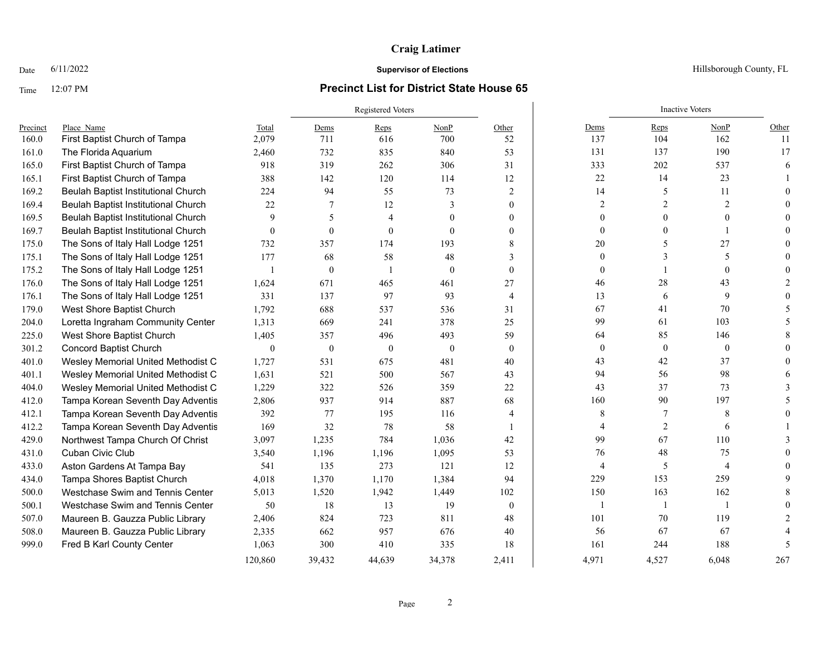## **Craig Latimer**

### Time 12:07 PM **Precinct List for District State House 65**

|          |                                     |              | <b>Registered Voters</b> |                |          |                | <b>Inactive Voters</b> |              |                |               |
|----------|-------------------------------------|--------------|--------------------------|----------------|----------|----------------|------------------------|--------------|----------------|---------------|
| Precinct | Place Name                          | Total        | Dems                     | Reps           | NonP     | Other          | Dems                   | Reps         | NonP           | Other         |
| 160.0    | First Baptist Church of Tampa       | 2,079        | 711                      | 616            | 700      | 52             | 137                    | 104          | 162            | <sup>11</sup> |
| 161.0    | The Florida Aquarium                | 2,460        | 732                      | 835            | 840      | 53             | 131                    | 137          | 190            | 17            |
| 165.0    | First Baptist Church of Tampa       | 918          | 319                      | 262            | 306      | 31             | 333                    | 202          | 537            | 6             |
| 165.1    | First Baptist Church of Tampa       | 388          | 142                      | 120            | 114      | 12             | 22                     | 14           | 23             |               |
| 169.2    | Beulah Baptist Institutional Church | 224          | 94                       | 55             | 73       | 2              | 14                     | 5            | 11             |               |
| 169.4    | Beulah Baptist Institutional Church | 22           | 7                        | 12             | 3        | $\Omega$       | 2                      | 2            | 2              |               |
| 169.5    | Beulah Baptist Institutional Church | 9            | 5                        | $\overline{4}$ | $\Omega$ | $\Omega$       | $\Omega$               |              | $\Omega$       |               |
| 169.7    | Beulah Baptist Institutional Church | $\theta$     | $\theta$                 | $\theta$       | $\Omega$ | $\Omega$       | $\Omega$               |              |                |               |
| 175.0    | The Sons of Italy Hall Lodge 1251   | 732          | 357                      | 174            | 193      | 8              | 20                     | 5            | 27             |               |
| 175.1    | The Sons of Italy Hall Lodge 1251   | 177          | 68                       | 58             | 48       | 3              | $\mathbf{0}$           |              | 5              |               |
| 175.2    | The Sons of Italy Hall Lodge 1251   | $\mathbf{1}$ | $\mathbf{0}$             | $\mathbf{1}$   | $\theta$ | $\Omega$       | $\Omega$               |              | $\Omega$       |               |
| 176.0    | The Sons of Italy Hall Lodge 1251   | 1,624        | 671                      | 465            | 461      | 27             | 46                     | 28           | 43             |               |
| 176.1    | The Sons of Italy Hall Lodge 1251   | 331          | 137                      | 97             | 93       | $\overline{4}$ | 13                     | 6            | 9              |               |
| 179.0    | West Shore Baptist Church           | 1,792        | 688                      | 537            | 536      | 31             | 67                     | 41           | 70             |               |
| 204.0    | Loretta Ingraham Community Center   | 1,313        | 669                      | 241            | 378      | 25             | 99                     | 61           | 103            |               |
| 225.0    | West Shore Baptist Church           | 1,405        | 357                      | 496            | 493      | 59             | 64                     | 85           | 146            |               |
| 301.2    | <b>Concord Baptist Church</b>       | $\mathbf{0}$ | $\mathbf{0}$             | $\theta$       | $\theta$ | $\theta$       | $\mathbf{0}$           | $\mathbf{0}$ | $\mathbf{0}$   |               |
| 401.0    | Wesley Memorial United Methodist C  | 1,727        | 531                      | 675            | 481      | 40             | 43                     | 42           | 37             |               |
| 401.1    | Wesley Memorial United Methodist C  | 1,631        | 521                      | 500            | 567      | 43             | 94                     | 56           | 98             |               |
| 404.0    | Wesley Memorial United Methodist C  | 1,229        | 322                      | 526            | 359      | 22             | 43                     | 37           | 73             |               |
| 412.0    | Tampa Korean Seventh Day Adventis   | 2,806        | 937                      | 914            | 887      | 68             | 160                    | 90           | 197            |               |
| 412.1    | Tampa Korean Seventh Day Adventis   | 392          | 77                       | 195            | 116      | 4              | 8                      | 7            | 8              |               |
| 412.2    | Tampa Korean Seventh Day Adventis   | 169          | 32                       | 78             | 58       |                | 4                      | 2            | 6              |               |
| 429.0    | Northwest Tampa Church Of Christ    | 3,097        | 1,235                    | 784            | 1,036    | 42             | 99                     | 67           | 110            |               |
| 431.0    | Cuban Civic Club                    | 3,540        | 1,196                    | 1,196          | 1,095    | 53             | 76                     | 48           | 75             |               |
| 433.0    | Aston Gardens At Tampa Bay          | 541          | 135                      | 273            | 121      | 12             | 4                      | 5            | $\overline{4}$ |               |
| 434.0    | Tampa Shores Baptist Church         | 4,018        | 1,370                    | 1,170          | 1,384    | 94             | 229                    | 153          | 259            |               |
| 500.0    | Westchase Swim and Tennis Center    | 5,013        | 1,520                    | 1,942          | 1,449    | 102            | 150                    | 163          | 162            |               |
| 500.1    | Westchase Swim and Tennis Center    | 50           | 18                       | 13             | 19       | $\mathbf{0}$   | $\overline{1}$         |              |                |               |
| 507.0    | Maureen B. Gauzza Public Library    | 2,406        | 824                      | 723            | 811      | 48             | 101                    | 70           | 119            |               |
| 508.0    | Maureen B. Gauzza Public Library    | 2,335        | 662                      | 957            | 676      | 40             | 56                     | 67           | 67             |               |
| 999.0    | Fred B Karl County Center           | 1,063        | 300                      | 410            | 335      | 18             | 161                    | 244          | 188            | -5            |
|          |                                     | 120,860      | 39.432                   | 44.639         | 34,378   | 2,411          | 4.971                  | 4.527        | 6.048          | 267           |

Date  $6/11/2022$  Hillsborough County, FL